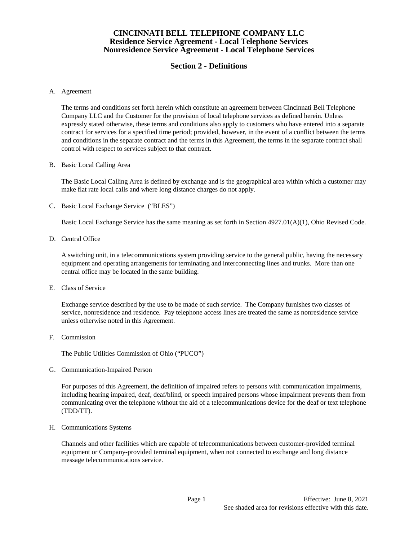# **Section 2 - Definitions**

#### A. Agreement

The terms and conditions set forth herein which constitute an agreement between Cincinnati Bell Telephone Company LLC and the Customer for the provision of local telephone services as defined herein. Unless expressly stated otherwise, these terms and conditions also apply to customers who have entered into a separate contract for services for a specified time period; provided, however, in the event of a conflict between the terms and conditions in the separate contract and the terms in this Agreement, the terms in the separate contract shall control with respect to services subject to that contract.

#### B. Basic Local Calling Area

The Basic Local Calling Area is defined by exchange and is the geographical area within which a customer may make flat rate local calls and where long distance charges do not apply.

C. Basic Local Exchange Service ("BLES")

Basic Local Exchange Service has the same meaning as set forth in Section 4927.01(A)(1), Ohio Revised Code.

D. Central Office

A switching unit, in a telecommunications system providing service to the general public, having the necessary equipment and operating arrangements for terminating and interconnecting lines and trunks. More than one central office may be located in the same building.

E. Class of Service

Exchange service described by the use to be made of such service. The Company furnishes two classes of service, nonresidence and residence. Pay telephone access lines are treated the same as nonresidence service unless otherwise noted in this Agreement.

F. Commission

The Public Utilities Commission of Ohio ("PUCO")

G. Communication-Impaired Person

For purposes of this Agreement, the definition of impaired refers to persons with communication impairments, including hearing impaired, deaf, deaf/blind, or speech impaired persons whose impairment prevents them from communicating over the telephone without the aid of a telecommunications device for the deaf or text telephone (TDD/TT).

H. Communications Systems

Channels and other facilities which are capable of telecommunications between customer-provided terminal equipment or Company-provided terminal equipment, when not connected to exchange and long distance message telecommunications service.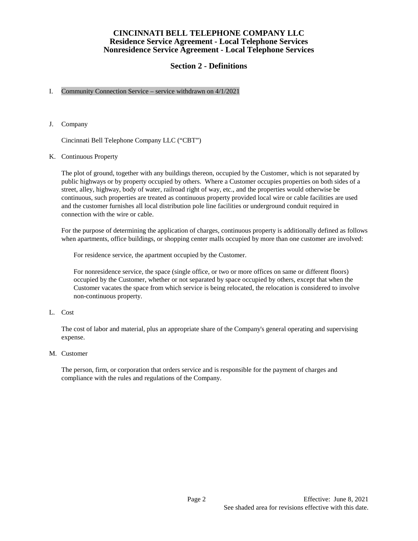# **Section 2 - Definitions**

## I. Community Connection Service – service withdrawn on 4/1/2021

J. Company

Cincinnati Bell Telephone Company LLC ("CBT")

## K. Continuous Property

The plot of ground, together with any buildings thereon, occupied by the Customer, which is not separated by public highways or by property occupied by others. Where a Customer occupies properties on both sides of a street, alley, highway, body of water, railroad right of way, etc., and the properties would otherwise be continuous, such properties are treated as continuous property provided local wire or cable facilities are used and the customer furnishes all local distribution pole line facilities or underground conduit required in connection with the wire or cable.

For the purpose of determining the application of charges, continuous property is additionally defined as follows when apartments, office buildings, or shopping center malls occupied by more than one customer are involved:

For residence service, the apartment occupied by the Customer.

For nonresidence service, the space (single office, or two or more offices on same or different floors) occupied by the Customer, whether or not separated by space occupied by others, except that when the Customer vacates the space from which service is being relocated, the relocation is considered to involve non-continuous property.

L. Cost

The cost of labor and material, plus an appropriate share of the Company's general operating and supervising expense.

M. Customer

The person, firm, or corporation that orders service and is responsible for the payment of charges and compliance with the rules and regulations of the Company.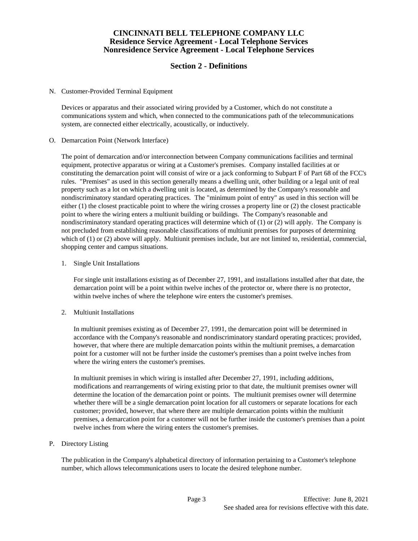# **Section 2 - Definitions**

N. Customer-Provided Terminal Equipment

Devices or apparatus and their associated wiring provided by a Customer, which do not constitute a communications system and which, when connected to the communications path of the telecommunications system, are connected either electrically, acoustically, or inductively.

O. Demarcation Point (Network Interface)

The point of demarcation and/or interconnection between Company communications facilities and terminal equipment, protective apparatus or wiring at a Customer's premises. Company installed facilities at or constituting the demarcation point will consist of wire or a jack conforming to Subpart F of Part 68 of the FCC's rules. "Premises" as used in this section generally means a dwelling unit, other building or a legal unit of real property such as a lot on which a dwelling unit is located, as determined by the Company's reasonable and nondiscriminatory standard operating practices. The "minimum point of entry" as used in this section will be either (1) the closest practicable point to where the wiring crosses a property line or (2) the closest practicable point to where the wiring enters a multiunit building or buildings. The Company's reasonable and nondiscriminatory standard operating practices will determine which of (1) or (2) will apply. The Company is not precluded from establishing reasonable classifications of multiunit premises for purposes of determining which of (1) or (2) above will apply. Multiunit premises include, but are not limited to, residential, commercial, shopping center and campus situations.

1. Single Unit Installations

For single unit installations existing as of December 27, 1991, and installations installed after that date, the demarcation point will be a point within twelve inches of the protector or, where there is no protector, within twelve inches of where the telephone wire enters the customer's premises.

2. Multiunit Installations

 In multiunit premises existing as of December 27, 1991, the demarcation point will be determined in accordance with the Company's reasonable and nondiscriminatory standard operating practices; provided, however, that where there are multiple demarcation points within the multiunit premises, a demarcation point for a customer will not be further inside the customer's premises than a point twelve inches from where the wiring enters the customer's premises.

 In multiunit premises in which wiring is installed after December 27, 1991, including additions, modifications and rearrangements of wiring existing prior to that date, the multiunit premises owner will determine the location of the demarcation point or points. The multiunit premises owner will determine whether there will be a single demarcation point location for all customers or separate locations for each customer; provided, however, that where there are multiple demarcation points within the multiunit premises, a demarcation point for a customer will not be further inside the customer's premises than a point twelve inches from where the wiring enters the customer's premises.

P. Directory Listing

The publication in the Company's alphabetical directory of information pertaining to a Customer's telephone number, which allows telecommunications users to locate the desired telephone number.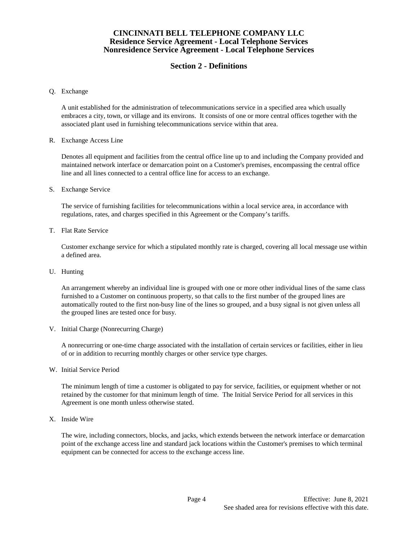# **Section 2 - Definitions**

#### Q. Exchange

A unit established for the administration of telecommunications service in a specified area which usually embraces a city, town, or village and its environs. It consists of one or more central offices together with the associated plant used in furnishing telecommunications service within that area.

#### R. Exchange Access Line

Denotes all equipment and facilities from the central office line up to and including the Company provided and maintained network interface or demarcation point on a Customer's premises, encompassing the central office line and all lines connected to a central office line for access to an exchange.

#### S. Exchange Service

The service of furnishing facilities for telecommunications within a local service area, in accordance with regulations, rates, and charges specified in this Agreement or the Company's tariffs.

## T. Flat Rate Service

Customer exchange service for which a stipulated monthly rate is charged, covering all local message use within a defined area.

U. Hunting

An arrangement whereby an individual line is grouped with one or more other individual lines of the same class furnished to a Customer on continuous property, so that calls to the first number of the grouped lines are automatically routed to the first non-busy line of the lines so grouped, and a busy signal is not given unless all the grouped lines are tested once for busy.

V. Initial Charge (Nonrecurring Charge)

A nonrecurring or one-time charge associated with the installation of certain services or facilities, either in lieu of or in addition to recurring monthly charges or other service type charges.

W. Initial Service Period

The minimum length of time a customer is obligated to pay for service, facilities, or equipment whether or not retained by the customer for that minimum length of time. The Initial Service Period for all services in this Agreement is one month unless otherwise stated.

X. Inside Wire

The wire, including connectors, blocks, and jacks, which extends between the network interface or demarcation point of the exchange access line and standard jack locations within the Customer's premises to which terminal equipment can be connected for access to the exchange access line.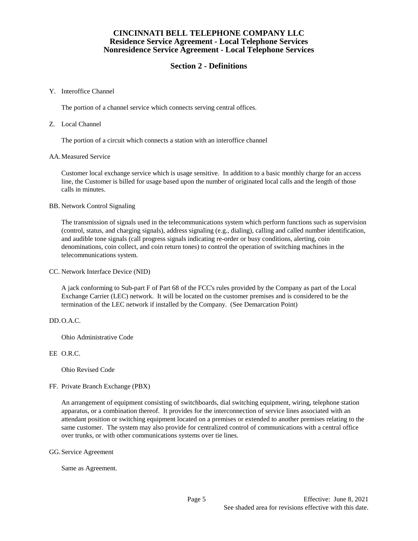# **Section 2 - Definitions**

### Y. Interoffice Channel

The portion of a channel service which connects serving central offices.

### Z. Local Channel

The portion of a circuit which connects a station with an interoffice channel

## AA.Measured Service

Customer local exchange service which is usage sensitive. In addition to a basic monthly charge for an access line, the Customer is billed for usage based upon the number of originated local calls and the length of those calls in minutes.

#### BB. Network Control Signaling

The transmission of signals used in the telecommunications system which perform functions such as supervision (control, status, and charging signals), address signaling (e.g., dialing), calling and called number identification, and audible tone signals (call progress signals indicating re-order or busy conditions, alerting, coin denominations, coin collect, and coin return tones) to control the operation of switching machines in the telecommunications system.

CC. Network Interface Device (NID)

A jack conforming to Sub-part F of Part 68 of the FCC's rules provided by the Company as part of the Local Exchange Carrier (LEC) network. It will be located on the customer premises and is considered to be the termination of the LEC network if installed by the Company. (See Demarcation Point)

## DD.O.A.C.

Ohio Administrative Code

## EE O.R.C.

Ohio Revised Code

FF. Private Branch Exchange (PBX)

An arrangement of equipment consisting of switchboards, dial switching equipment, wiring, telephone station apparatus, or a combination thereof. It provides for the interconnection of service lines associated with an attendant position or switching equipment located on a premises or extended to another premises relating to the same customer. The system may also provide for centralized control of communications with a central office over trunks, or with other communications systems over tie lines.

GG.Service Agreement

Same as Agreement.